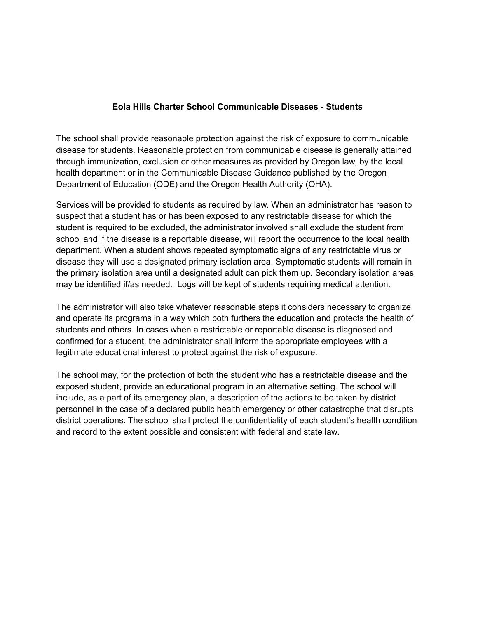### **Eola Hills Charter School Communicable Diseases - Students**

The school shall provide reasonable protection against the risk of exposure to communicable disease for students. Reasonable protection from communicable disease is generally attained through immunization, exclusion or other measures as provided by Oregon law, by the local health department or in the Communicable Disease Guidance published by the Oregon Department of Education (ODE) and the Oregon Health Authority (OHA).

Services will be provided to students as required by law. When an administrator has reason to suspect that a student has or has been exposed to any restrictable disease for which the student is required to be excluded, the administrator involved shall exclude the student from school and if the disease is a reportable disease, will report the occurrence to the local health department. When a student shows repeated symptomatic signs of any restrictable virus or disease they will use a designated primary isolation area. Symptomatic students will remain in the primary isolation area until a designated adult can pick them up. Secondary isolation areas may be identified if/as needed. Logs will be kept of students requiring medical attention.

The administrator will also take whatever reasonable steps it considers necessary to organize and operate its programs in a way which both furthers the education and protects the health of students and others. In cases when a restrictable or reportable disease is diagnosed and confirmed for a student, the administrator shall inform the appropriate employees with a legitimate educational interest to protect against the risk of exposure.

The school may, for the protection of both the student who has a restrictable disease and the exposed student, provide an educational program in an alternative setting. The school will include, as a part of its emergency plan, a description of the actions to be taken by district personnel in the case of a declared public health emergency or other catastrophe that disrupts district operations. The school shall protect the confidentiality of each student's health condition and record to the extent possible and consistent with federal and state law.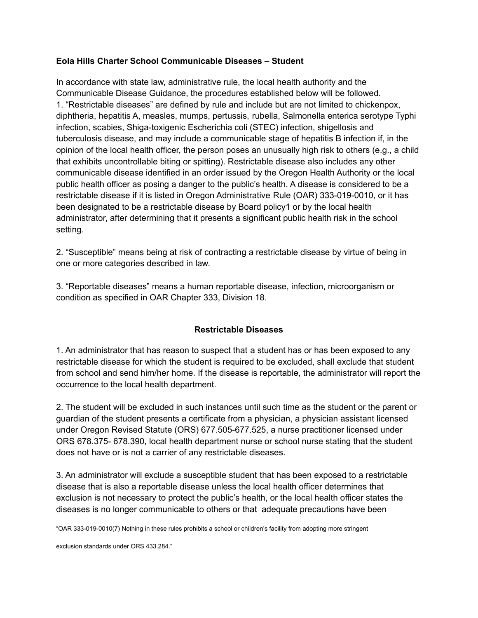### **Eola Hills Charter School Communicable Diseases – Student**

In accordance with state law, administrative rule, the local health authority and the Communicable Disease Guidance, the procedures established below will be followed. 1. "Restrictable diseases" are defined by rule and include but are not limited to chickenpox, diphtheria, hepatitis A, measles, mumps, pertussis, rubella, Salmonella enterica serotype Typhi infection, scabies, Shiga-toxigenic Escherichia coli (STEC) infection, shigellosis and tuberculosis disease, and may include a communicable stage of hepatitis B infection if, in the opinion of the local health officer, the person poses an unusually high risk to others (e.g., a child that exhibits uncontrollable biting or spitting). Restrictable disease also includes any other communicable disease identified in an order issued by the Oregon Health Authority or the local public health officer as posing a danger to the public's health. A disease is considered to be a restrictable disease if it is listed in Oregon Administrative Rule (OAR) 333-019-0010, or it has been designated to be a restrictable disease by Board policy1 or by the local health administrator, after determining that it presents a significant public health risk in the school setting.

2. "Susceptible" means being at risk of contracting a restrictable disease by virtue of being in one or more categories described in law.

3. "Reportable diseases" means a human reportable disease, infection, microorganism or condition as specified in OAR Chapter 333, Division 18.

### **Restrictable Diseases**

1. An administrator that has reason to suspect that a student has or has been exposed to any restrictable disease for which the student is required to be excluded, shall exclude that student from school and send him/her home. If the disease is reportable, the administrator will report the occurrence to the local health department.

2. The student will be excluded in such instances until such time as the student or the parent or guardian of the student presents a certificate from a physician, a physician assistant licensed under Oregon Revised Statute (ORS) 677.505-677.525, a nurse practitioner licensed under ORS 678.375- 678.390, local health department nurse or school nurse stating that the student does not have or is not a carrier of any restrictable diseases.

3. An administrator will exclude a susceptible student that has been exposed to a restrictable disease that is also a reportable disease unless the local health officer determines that exclusion is not necessary to protect the public's health, or the local health officer states the diseases is no longer communicable to others or that adequate precautions have been

"OAR 333-019-0010(7) Nothing in these rules prohibits a school or children's facility from adopting more stringent

exclusion standards under ORS 433.284."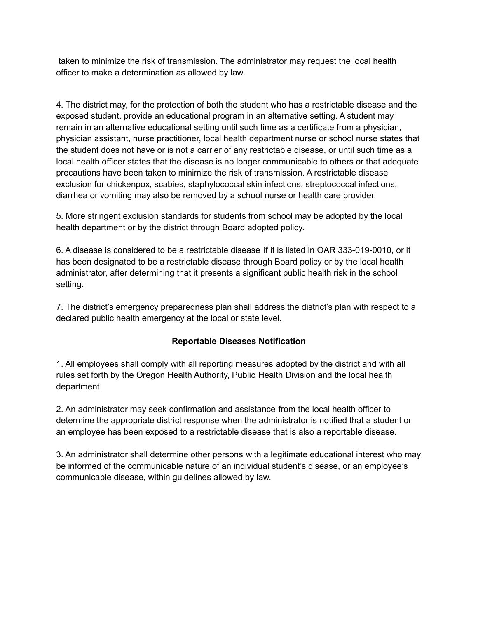taken to minimize the risk of transmission. The administrator may request the local health officer to make a determination as allowed by law.

4. The district may, for the protection of both the student who has a restrictable disease and the exposed student, provide an educational program in an alternative setting. A student may remain in an alternative educational setting until such time as a certificate from a physician, physician assistant, nurse practitioner, local health department nurse or school nurse states that the student does not have or is not a carrier of any restrictable disease, or until such time as a local health officer states that the disease is no longer communicable to others or that adequate precautions have been taken to minimize the risk of transmission. A restrictable disease exclusion for chickenpox, scabies, staphylococcal skin infections, streptococcal infections, diarrhea or vomiting may also be removed by a school nurse or health care provider.

5. More stringent exclusion standards for students from school may be adopted by the local health department or by the district through Board adopted policy.

6. A disease is considered to be a restrictable disease if it is listed in OAR 333-019-0010, or it has been designated to be a restrictable disease through Board policy or by the local health administrator, after determining that it presents a significant public health risk in the school setting.

7. The district's emergency preparedness plan shall address the district's plan with respect to a declared public health emergency at the local or state level.

# **Reportable Diseases Notification**

1. All employees shall comply with all reporting measures adopted by the district and with all rules set forth by the Oregon Health Authority, Public Health Division and the local health department.

2. An administrator may seek confirmation and assistance from the local health officer to determine the appropriate district response when the administrator is notified that a student or an employee has been exposed to a restrictable disease that is also a reportable disease.

3. An administrator shall determine other persons with a legitimate educational interest who may be informed of the communicable nature of an individual student's disease, or an employee's communicable disease, within guidelines allowed by law.